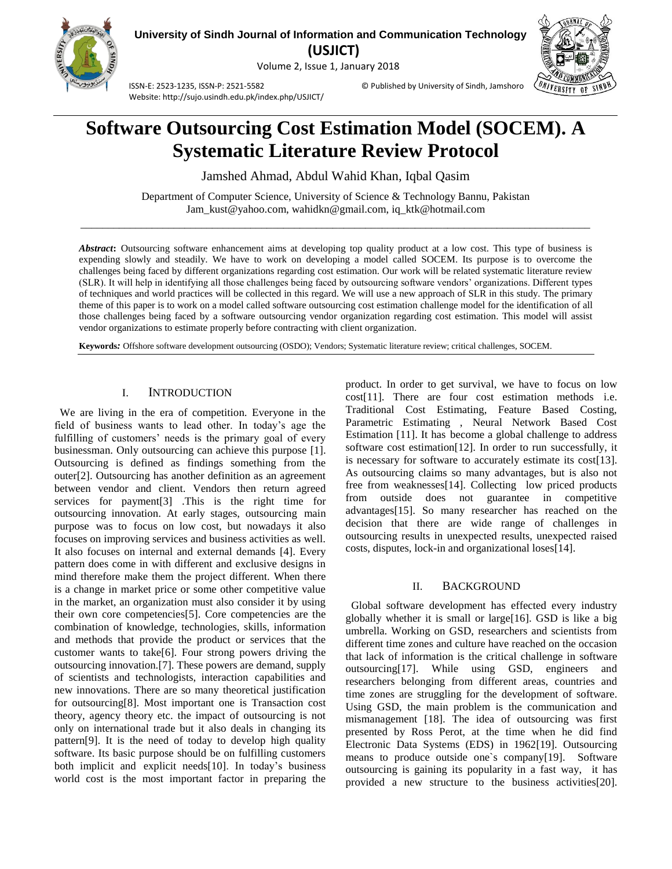

**University of Sindh Journal of Information and Communication Technology (USJICT)**

Volume 2, Issue 1, January 2018



ISSN-E: 2523-1235, ISSN-P: 2521-5582 © Published by University of Sindh, Jamshoro Website: http://sujo.usindh.edu.pk/index.php/USJICT/

# **Software Outsourcing Cost Estimation Model (SOCEM). A Systematic Literature Review Protocol**

Jamshed Ahmad, Abdul Wahid Khan, Iqbal Qasim

Department of Computer Science, University of Science & Technology Bannu, Pakistan Jam\_kust@yahoo.com, wahidkn@gmail.com, iq\_ktk@hotmail.com  $\_$  ,  $\_$  ,  $\_$  ,  $\_$  ,  $\_$  ,  $\_$  ,  $\_$  ,  $\_$  ,  $\_$  ,  $\_$  ,  $\_$  ,  $\_$  ,  $\_$  ,  $\_$  ,  $\_$  ,  $\_$  ,  $\_$  ,  $\_$  ,  $\_$  ,  $\_$  ,  $\_$  ,  $\_$  ,  $\_$  ,  $\_$  ,  $\_$  ,  $\_$  ,  $\_$  ,  $\_$  ,  $\_$  ,  $\_$  ,  $\_$  ,  $\_$  ,  $\_$  ,  $\_$  ,  $\_$  ,  $\_$  ,  $\_$  ,

*Abstract***:** Outsourcing software enhancement aims at developing top quality product at a low cost. This type of business is expending slowly and steadily. We have to work on developing a model called SOCEM. Its purpose is to overcome the challenges being faced by different organizations regarding cost estimation. Our work will be related systematic literature review (SLR). It will help in identifying all those challenges being faced by outsourcing software vendors' organizations. Different types of techniques and world practices will be collected in this regard. We will use a new approach of SLR in this study. The primary theme of this paper is to work on a model called software outsourcing cost estimation challenge model for the identification of all those challenges being faced by a software outsourcing vendor organization regarding cost estimation. This model will assist vendor organizations to estimate properly before contracting with client organization.

**Keywords***:* Offshore software development outsourcing (OSDO); Vendors; Systematic literature review; critical challenges, SOCEM.

# I. INTRODUCTION

 We are living in the era of competition. Everyone in the field of business wants to lead other. In today's age the fulfilling of customers' needs is the primary goal of every businessman. Only outsourcing can achieve this purpose [\[1\]](#page-4-0). Outsourcing is defined as findings something from the outer[\[2\]](#page-5-0). Outsourcing has another definition as an agreement between vendor and client. Vendors then return agreed services for payment[\[3\]](#page-5-1) .This is the right time for outsourcing innovation. At early stages, outsourcing main purpose was to focus on low cost, but nowadays it also focuses on improving services and business activities as well. It also focuses on internal and external demands [\[4\]](#page-5-2). Every pattern does come in with different and exclusive designs in mind therefore make them the project different. When there is a change in market price or some other competitive value in the market, an organization must also consider it by using their own core competencies[\[5\]](#page-5-3). Core competencies are the combination of knowledge, technologies, skills, information and methods that provide the product or services that the customer wants to take[\[6\]](#page-5-4). Four strong powers driving the outsourcing innovation.[\[7\]](#page-5-5). These powers are demand, supply of scientists and technologists, interaction capabilities and new innovations. There are so many theoretical justification for outsourcing[\[8\]](#page-5-6). Most important one is Transaction cost theory, agency theory etc. the impact of outsourcing is not only on international trade but it also deals in changing its pattern[\[9\]](#page-5-7). It is the need of today to develop high quality software. Its basic purpose should be on fulfilling customers both implicit and explicit needs[\[10\]](#page-5-8). In today's business world cost is the most important factor in preparing the

product. In order to get survival, we have to focus on low cost[\[11\]](#page-5-9). There are four cost estimation methods i.e. Traditional Cost Estimating, Feature Based Costing, Parametric Estimating , Neural Network Based Cost Estimation [\[11\]](#page-5-9). It has become a global challenge to address software cost estimation[\[12\]](#page-5-10). In order to run successfully, it is necessary for software to accurately estimate its cost[\[13\]](#page-5-11). As outsourcing claims so many advantages, but is also not free from weaknesses[\[14\]](#page-5-12). Collecting low priced products from outside does not guarantee in competitive advantages[\[15\]](#page-5-13). So many researcher has reached on the decision that there are wide range of challenges in outsourcing results in unexpected results, unexpected raised costs, disputes, lock-in and organizational loses[\[14\]](#page-5-12).

#### II. BACKGROUND

 Global software development has effected every industry globally whether it is small or large[\[16\]](#page-5-14). GSD is like a big umbrella. Working on GSD, researchers and scientists from different time zones and culture have reached on the occasion that lack of information is the critical challenge in software outsourcing[\[17\]](#page-5-15). While using GSD, engineers and researchers belonging from different areas, countries and time zones are struggling for the development of software. Using GSD, the main problem is the communication and mismanagement [\[18\]](#page-5-16). The idea of outsourcing was first presented by Ross Perot, at the time when he did find Electronic Data Systems (EDS) in 1962[\[19\]](#page-5-17). Outsourcing means to produce outside one`s company[\[19\]](#page-5-17). Software outsourcing is gaining its popularity in a fast way, it has provided a new structure to the business activities[\[20\]](#page-5-18).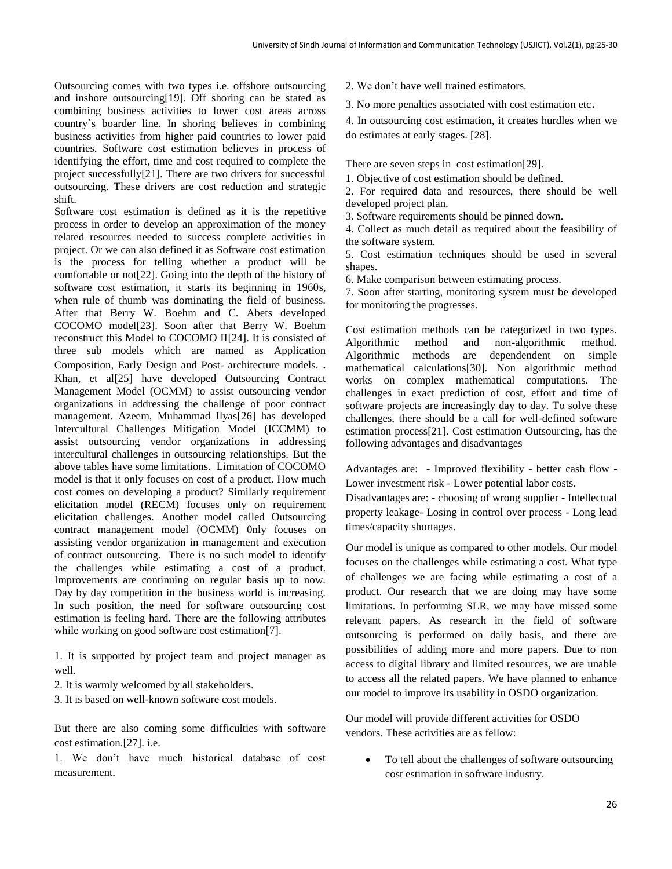Outsourcing comes with two types i.e. offshore outsourcing and inshore outsourcing[\[19\]](#page-5-17). Off shoring can be stated as combining business activities to lower cost areas across country`s boarder line. In shoring believes in combining business activities from higher paid countries to lower paid countries. Software cost estimation believes in process of identifying the effort, time and cost required to complete the project successfully[\[21\]](#page-5-19). There are two drivers for successful outsourcing. These drivers are cost reduction and strategic shift.

Software cost estimation is defined as it is the repetitive process in order to develop an approximation of the money related resources needed to success complete activities in project. Or we can also defined it as Software cost estimation is the process for telling whether a product will be comfortable or not[\[22\]](#page-5-20). Going into the depth of the history of software cost estimation, it starts its beginning in 1960s, when rule of thumb was dominating the field of business. After that Berry W. Boehm and C. Abets developed COCOMO model[\[23\]](#page-5-21). Soon after that Berry W. Boehm reconstruct this Model to COCOMO II[\[24\]](#page-5-22). It is consisted of three sub models which are named as Application Composition, Early Design and Post- architecture models. . Khan, et al[\[25\]](#page-5-23) have developed Outsourcing Contract Management Model (OCMM) to assist outsourcing vendor organizations in addressing the challenge of poor contract management. Azeem, Muhammad Ilyas[\[26\]](#page-5-24) has developed Intercultural Challenges Mitigation Model (ICCMM) to assist outsourcing vendor organizations in addressing intercultural challenges in outsourcing relationships. But the above tables have some limitations. Limitation of COCOMO model is that it only focuses on cost of a product. How much cost comes on developing a product? Similarly requirement elicitation model (RECM) focuses only on requirement elicitation challenges. Another model called Outsourcing contract management model (OCMM) 0nly focuses on assisting vendor organization in management and execution of contract outsourcing. There is no such model to identify the challenges while estimating a cost of a product. Improvements are continuing on regular basis up to now. Day by day competition in the business world is increasing. In such position, the need for software outsourcing cost estimation is feeling hard. There are the following attributes while working on good software cost estimation[\[7\]](#page-5-5).

1. It is supported by project team and project manager as well.

2. It is warmly welcomed by all stakeholders.

3. It is based on well-known software cost models.

But there are also coming some difficulties with software cost estimation.[\[27\]](#page-5-25). i.e.

1. We don't have much historical database of cost measurement.

2. We don't have well trained estimators.

3. No more penalties associated with cost estimation etc.

4. In outsourcing cost estimation, it creates hurdles when we do estimates at early stages. [\[28\]](#page-5-26).

There are seven steps in cost estimation[\[29\]](#page-5-27).

1. Objective of cost estimation should be defined.

2. For required data and resources, there should be well developed project plan.

3. Software requirements should be pinned down.

4. Collect as much detail as required about the feasibility of the software system.

5. Cost estimation techniques should be used in several shapes.

6. Make comparison between estimating process.

7. Soon after starting, monitoring system must be developed for monitoring the progresses.

Cost estimation methods can be categorized in two types. Algorithmic method and non-algorithmic method. Algorithmic methods are dependendent on simple mathematical calculations[\[30\]](#page-5-28). Non algorithmic method works on complex mathematical computations. The challenges in exact prediction of cost, effort and time of software projects are increasingly day to day. To solve these challenges, there should be a call for well-defined software estimation process[\[21\]](#page-5-19). Cost estimation Outsourcing, has the following advantages and disadvantages

Advantages are: - Improved flexibility - better cash flow - Lower investment risk - Lower potential labor costs.

Disadvantages are: - choosing of wrong supplier - Intellectual property leakage- Losing in control over process - Long lead times/capacity shortages.

Our model is unique as compared to other models. Our model focuses on the challenges while estimating a cost. What type of challenges we are facing while estimating a cost of a product. Our research that we are doing may have some limitations. In performing SLR, we may have missed some relevant papers. As research in the field of software outsourcing is performed on daily basis, and there are possibilities of adding more and more papers. Due to non access to digital library and limited resources, we are unable to access all the related papers. We have planned to enhance our model to improve its usability in OSDO organization.

Our model will provide different activities for OSDO vendors. These activities are as fellow:

• To tell about the challenges of software outsourcing cost estimation in software industry.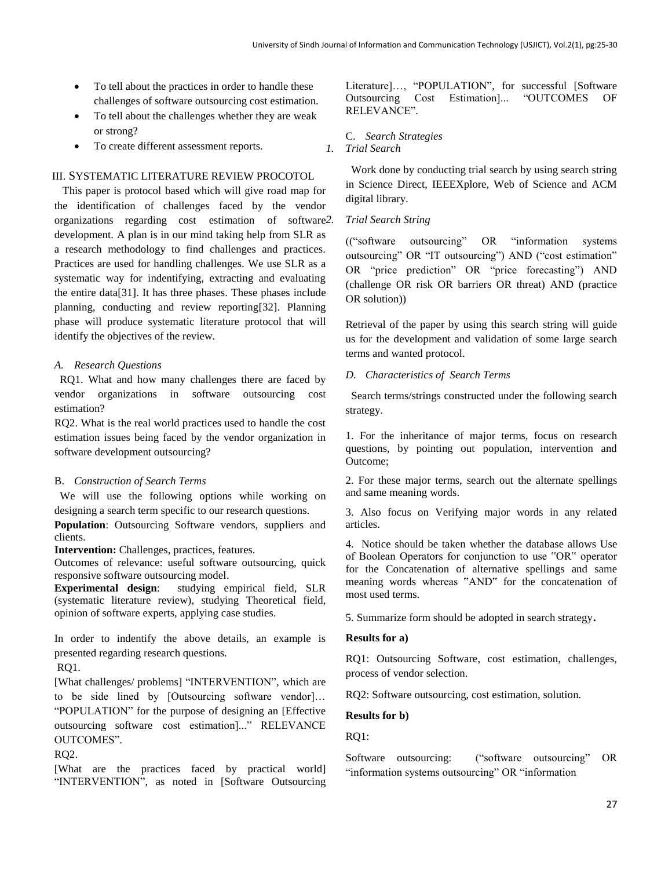- To tell about the practices in order to handle these challenges of software outsourcing cost estimation.
- To tell about the challenges whether they are weak or strong?
- To create different assessment reports.

# III. SYSTEMATIC LITERATURE REVIEW PROCOTOL

 This paper is protocol based which will give road map for the identification of challenges faced by the vendor organizations regarding cost estimation of software development. A plan is in our mind taking help from SLR as a research methodology to find challenges and practices. Practices are used for handling challenges. We use SLR as a systematic way for indentifying, extracting and evaluating the entire data[\[31\]](#page-5-29). It has three phases. These phases include planning, conducting and review reporting[\[32\]](#page-5-30). Planning phase will produce systematic literature protocol that will identify the objectives of the review.

#### *A. Research Questions*

 RQ1. What and how many challenges there are faced by vendor organizations in software outsourcing cost estimation?

RQ2. What is the real world practices used to handle the cost estimation issues being faced by the vendor organization in software development outsourcing?

#### B. *Construction of Search Terms*

 We will use the following options while working on designing a search term specific to our research questions.

**Population**: Outsourcing Software vendors, suppliers and clients.

**Intervention:** Challenges, practices, features.

Outcomes of relevance: useful software outsourcing, quick responsive software outsourcing model.

**Experimental design**: studying empirical field, SLR (systematic literature review), studying Theoretical field, opinion of software experts, applying case studies.

In order to indentify the above details, an example is presented regarding research questions.

RQ1.

[What challenges/ problems] "INTERVENTION", which are to be side lined by [Outsourcing software vendor]… "POPULATION" for the purpose of designing an [Effective outsourcing software cost estimation]..." RELEVANCE OUTCOMES".

RQ2.

[What are the practices faced by practical world] "INTERVENTION", as noted in [Software Outsourcing Literature]…, "POPULATION", for successful [Software Outsourcing Cost Estimation]... "OUTCOMES OF RELEVANCE".

# C. *Search Strategies*

*1. Trial Search*

 Work done by conducting trial search by using search string in Science Direct, IEEEXplore, Web of Science and ACM digital library.

# *2. Trial Search String*

(("software outsourcing" OR "information systems outsourcing" OR "IT outsourcing") AND ("cost estimation" OR "price prediction" OR "price forecasting") AND (challenge OR risk OR barriers OR threat) AND (practice OR solution))

Retrieval of the paper by using this search string will guide us for the development and validation of some large search terms and wanted protocol.

# *D. Characteristics of Search Terms*

 Search terms/strings constructed under the following search strategy.

1. For the inheritance of major terms, focus on research questions, by pointing out population, intervention and Outcome;

2. For these major terms, search out the alternate spellings and same meaning words.

3. Also focus on Verifying major words in any related articles.

4. Notice should be taken whether the database allows Use of Boolean Operators for conjunction to use "OR" operator for the Concatenation of alternative spellings and same meaning words whereas "AND" for the concatenation of most used terms.

5. Summarize form should be adopted in search strategy.

# **Results for a)**

RQ1: Outsourcing Software, cost estimation, challenges, process of vendor selection.

RQ2: Software outsourcing, cost estimation, solution.

**Results for b)**

RQ1:

Software outsourcing: ("software outsourcing" OR "information systems outsourcing" OR "information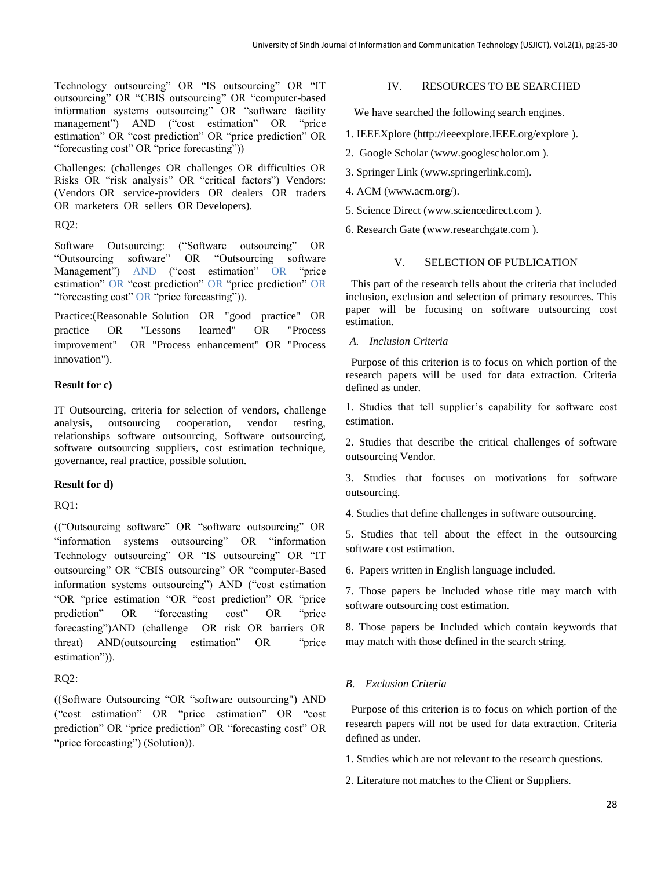Technology outsourcing" OR "IS outsourcing" OR "IT outsourcing" OR "CBIS outsourcing" OR "computer-based information systems outsourcing" OR "software facility management") AND ("cost estimation" OR "price estimation" OR "cost prediction" OR "price prediction" OR "forecasting cost" OR "price forecasting"))

Challenges: (challenges OR challenges OR difficulties OR Risks OR "risk analysis" OR "critical factors") Vendors: (Vendors OR service-providers OR dealers OR traders OR marketers OR sellers OR Developers).

#### RQ2:

Software Outsourcing: ("Software outsourcing" OR "Outsourcing software" OR "Outsourcing software Management") AND ("cost estimation" OR "price estimation" OR "cost prediction" OR "price prediction" OR "forecasting cost" OR "price forecasting")).

Practice:(Reasonable Solution OR "good practice" OR practice OR "Lessons learned" OR "Process improvement" OR "Process enhancement" OR "Process innovation").

#### **Result for c)**

IT Outsourcing, criteria for selection of vendors, challenge analysis, outsourcing cooperation, vendor testing, relationships software outsourcing, Software outsourcing, software outsourcing suppliers, cost estimation technique, governance, real practice, possible solution.

#### **Result for d)**

RQ1:

(("Outsourcing software" OR "software outsourcing" OR "information systems outsourcing" OR "information Technology outsourcing" OR "IS outsourcing" OR "IT outsourcing" OR "CBIS outsourcing" OR "computer-Based information systems outsourcing") AND ("cost estimation "OR "price estimation "OR "cost prediction" OR "price prediction" OR "forecasting cost" OR "price forecasting")AND (challenge OR risk OR barriers OR threat) AND(outsourcing estimation" OR "price estimation")).

# RQ2:

((Software Outsourcing "OR "software outsourcing") AND ("cost estimation" OR "price estimation" OR "cost prediction" OR "price prediction" OR "forecasting cost" OR "price forecasting") (Solution)).

#### IV. RESOURCES TO BE SEARCHED

We have searched the following search engines.

- 1. IEEEXplore (http://ieeexplore.IEEE.org/explore ).
- 2. Google Scholar (www.googlescholor.om ).
- 3. Springer Link (www.springerlink.com).
- 4. ACM (www.acm.org/).
- 5. Science Direct (www.sciencedirect.com ).
- 6. Research Gate (www.researchgate.com ).

# V. SELECTION OF PUBLICATION

 This part of the research tells about the criteria that included inclusion, exclusion and selection of primary resources. This paper will be focusing on software outsourcing cost estimation.

*A. Inclusion Criteria*

 Purpose of this criterion is to focus on which portion of the research papers will be used for data extraction. Criteria defined as under.

1. Studies that tell supplier's capability for software cost estimation.

2. Studies that describe the critical challenges of software outsourcing Vendor.

3. Studies that focuses on motivations for software outsourcing.

4. Studies that define challenges in software outsourcing.

5. Studies that tell about the effect in the outsourcing software cost estimation.

6. Papers written in English language included.

7. Those papers be Included whose title may match with software outsourcing cost estimation.

8. Those papers be Included which contain keywords that may match with those defined in the search string.

# *B. Exclusion Criteria*

 Purpose of this criterion is to focus on which portion of the research papers will not be used for data extraction. Criteria defined as under.

- 1. Studies which are not relevant to the research questions.
- 2. Literature not matches to the Client or Suppliers.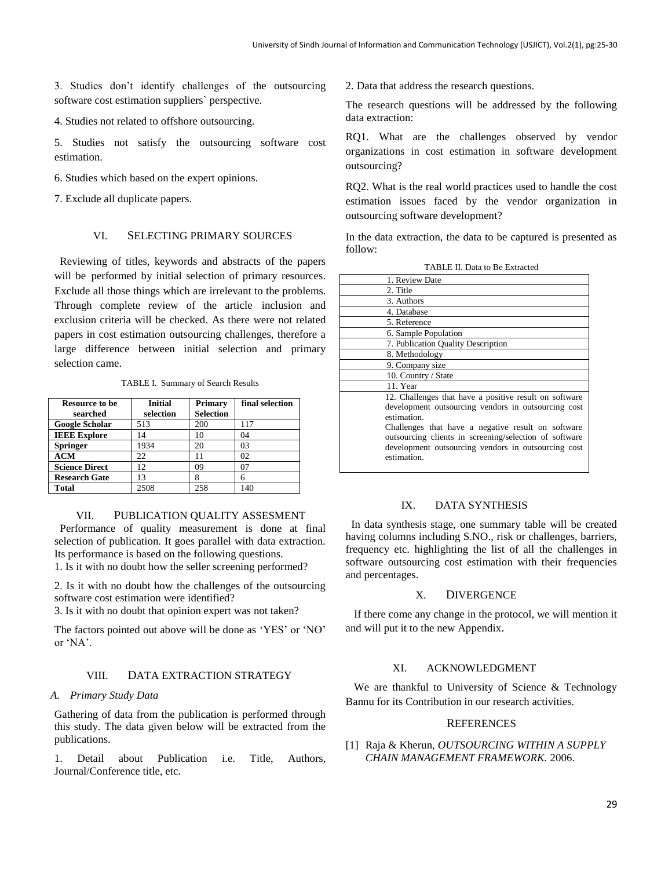3. Studies don't identify challenges of the outsourcing software cost estimation suppliers` perspective.

4. Studies not related to offshore outsourcing.

5. Studies not satisfy the outsourcing software cost estimation.

6. Studies which based on the expert opinions.

7. Exclude all duplicate papers.

# VI. SELECTING PRIMARY SOURCES

 Reviewing of titles, keywords and abstracts of the papers will be performed by initial selection of primary resources. Exclude all those things which are irrelevant to the problems. Through complete review of the article inclusion and exclusion criteria will be checked. As there were not related papers in cost estimation outsourcing challenges, therefore a large difference between initial selection and primary selection came.

TABLE I. Summary of Search Results

| <b>Resource to be</b><br>searched | <b>Initial</b><br>selection | Primary<br><b>Selection</b> | final selection |
|-----------------------------------|-----------------------------|-----------------------------|-----------------|
| <b>Google Scholar</b>             | 513                         | 200                         | 117             |
| <b>IEEE</b> Explore               | 14                          | 10                          | 04              |
| <b>Springer</b>                   | 1934                        | 20                          | 03              |
| <b>ACM</b>                        | 22                          | 11                          | 02              |
| <b>Science Direct</b>             | 12.                         | 09                          | 07              |
| <b>Research Gate</b>              | 13                          |                             | 6               |
| Total                             | 2508                        | 258                         | 140             |

#### VII. PUBLICATION QUALITY ASSESMENT

 Performance of quality measurement is done at final selection of publication. It goes parallel with data extraction. Its performance is based on the following questions.

1. Is it with no doubt how the seller screening performed?

2. Is it with no doubt how the challenges of the outsourcing software cost estimation were identified?

3. Is it with no doubt that opinion expert was not taken?

The factors pointed out above will be done as 'YES' or 'NO' or 'NA'.

# VIII. DATA EXTRACTION STRATEGY

#### *A. Primary Study Data*

Gathering of data from the publication is performed through this study. The data given below will be extracted from the publications.

1. Detail about Publication i.e. Title, Authors, Journal/Conference title, etc.

2. Data that address the research questions.

The research questions will be addressed by the following data extraction:

RQ1. What are the challenges observed by vendor organizations in cost estimation in software development outsourcing?

RQ2. What is the real world practices used to handle the cost estimation issues faced by the vendor organization in outsourcing software development?

In the data extraction, the data to be captured is presented as follow:

| 1. Review Date                                                                                                                                                                                                                                                                                                     |
|--------------------------------------------------------------------------------------------------------------------------------------------------------------------------------------------------------------------------------------------------------------------------------------------------------------------|
| 2. Title                                                                                                                                                                                                                                                                                                           |
| 3. Authors                                                                                                                                                                                                                                                                                                         |
| 4. Database                                                                                                                                                                                                                                                                                                        |
| 5. Reference                                                                                                                                                                                                                                                                                                       |
| 6. Sample Population                                                                                                                                                                                                                                                                                               |
| 7. Publication Quality Description                                                                                                                                                                                                                                                                                 |
| 8. Methodology                                                                                                                                                                                                                                                                                                     |
| 9. Company size                                                                                                                                                                                                                                                                                                    |
| 10. Country / State                                                                                                                                                                                                                                                                                                |
| 11. Year                                                                                                                                                                                                                                                                                                           |
| 12. Challenges that have a positive result on software<br>development outsourcing vendors in outsourcing cost<br>estimation.<br>Challenges that have a negative result on software<br>outsourcing clients in screening/selection of software<br>development outsourcing vendors in outsourcing cost<br>estimation. |

#### TABLE II. Data to Be Extracted

#### IX. DATA SYNTHESIS

 In data synthesis stage, one summary table will be created having columns including S.NO., risk or challenges, barriers, frequency etc. highlighting the list of all the challenges in software outsourcing cost estimation with their frequencies and percentages.

#### X. DIVERGENCE

 If there come any change in the protocol, we will mention it and will put it to the new Appendix.

#### XI. ACKNOWLEDGMENT

We are thankful to University of Science & Technology Bannu for its Contribution in our research activities.

#### **REFERENCES**

<span id="page-4-0"></span>[1] Raja & Kherun, *OUTSOURCING WITHIN A SUPPLY CHAIN MANAGEMENT FRAMEWORK.* 2006.